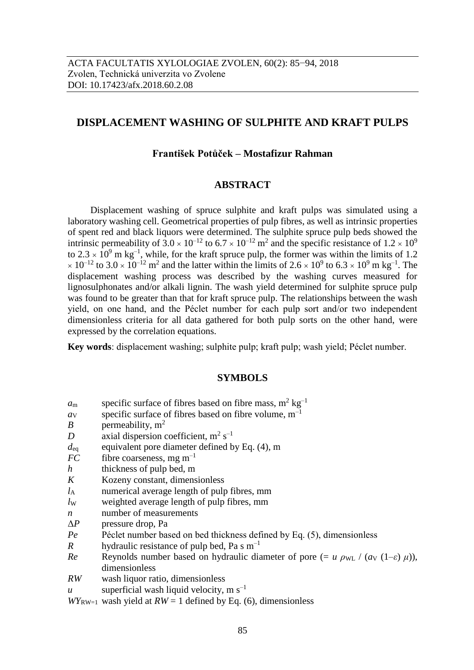# **DISPLACEMENT WASHING OF SULPHITE AND KRAFT PULPS**

# **František Potůček – Mostafizur Rahman**

### **ABSTRACT**

Displacement washing of spruce sulphite and kraft pulps was simulated using a laboratory washing cell. Geometrical properties of pulp fibres, as well as intrinsic properties of spent red and black liquors were determined. The sulphite spruce pulp beds showed the intrinsic permeability of  $3.0 \times 10^{-12}$  to  $6.7 \times 10^{-12}$  m<sup>2</sup> and the specific resistance of  $1.2 \times 10^9$ to  $2.3 \times 10^9$  m kg<sup>-1</sup>, while, for the kraft spruce pulp, the former was within the limits of 1.2  $\times 10^{-12}$  to  $3.0 \times 10^{-12}$  m<sup>2</sup> and the latter within the limits of  $2.6 \times 10^9$  to  $6.3 \times 10^9$  m kg<sup>-1</sup>. The displacement washing process was described by the washing curves measured for lignosulphonates and/or alkali lignin. The wash yield determined for sulphite spruce pulp was found to be greater than that for kraft spruce pulp. The relationships between the wash yield, on one hand, and the Péclet number for each pulp sort and/or two independent dimensionless criteria for all data gathered for both pulp sorts on the other hand, were expressed by the correlation equations.

**Key words**: displacement washing; sulphite pulp; kraft pulp; wash yield; Péclet number.

#### **SYMBOLS**

- $a_{\rm m}$  specific surface of fibres based on fibre mass,  $\rm m^2\,kg^{-1}$
- *a*v specific surface of fibres based on fibre volume,  $m^{-1}$
- *B* permeability, m<sup>2</sup>
- *D* axial dispersion coefficient,  $m^2 s^{-1}$
- $d_{\text{eq}}$  equivalent pore diameter defined by Eq. (4), m
- $FC$  fibre coarseness, mg m<sup>-1</sup>
- *h* thickness of pulp bed, m
- *K* Kozeny constant, dimensionless
- *l*<sup>A</sup> numerical average length of pulp fibres, mm
- *lw* weighted average length of pulp fibres, mm
- *n* number of measurements
- Δ*P* pressure drop, Pa
- *Pe* Péclet number based on bed thickness defined by Eq. (5), dimensionless
- *R* hydraulic resistance of pulp bed, Pa s  $m^{-1}$
- *Re* Reynolds number based on hydraulic diameter of pore  $(= u \rho_{WL} / (a_V (1-\varepsilon) \mu))$ , dimensionless
- *RW* wash liquor ratio, dimensionless
- *u* superficial wash liquid velocity,  $m s^{-1}$

 $WY_{\text{RW-1}}$  wash yield at  $RW = 1$  defined by Eq. (6), dimensionless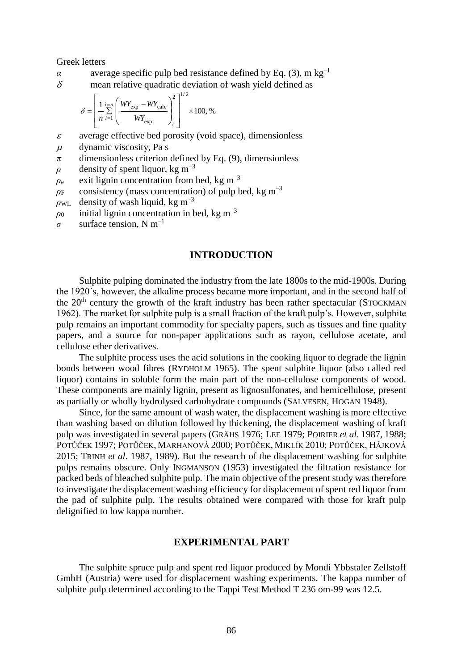Greek letters

- *α* average specific pulp bed resistance defined by Eq. (3), m kg<sup>-1</sup>
- $\delta$  mean relative quadratic deviation of wash yield defined as

$$
\delta = \left[ \frac{1}{n} \sum_{i=1}^{i=n} \left( \frac{WY_{\text{exp}} - WY_{\text{calc}}}{WY_{\text{exp}}} \right)_i^2 \right]^{1/2} \times 100, \%
$$

- $\varepsilon$  average effective bed porosity (void space), dimensionless
- $\mu$  dynamic viscosity, Pa s
- *π* dimensionless criterion defined by Eq. (9), dimensionless
- *ρ* density of spent liquor, kg m<sup>-3</sup>
- $\rho_e$  exit lignin concentration from bed, kg m<sup>-3</sup>
- $\rho_F$  consistency (mass concentration) of pulp bed, kg m<sup>-3</sup>

 $\rho_{\text{WL}}$  density of wash liquid, kg m<sup>-3</sup>

- $\rho_0$  initial lignin concentration in bed, kg m<sup>-3</sup>
- $\sigma$  surface tension, N m<sup>-1</sup>

#### **INTRODUCTION**

Sulphite pulping dominated the industry from the late 1800s to the mid-1900s. During the 1920´s, however, the alkaline process became more important, and in the second half of the  $20<sup>th</sup>$  century the growth of the kraft industry has been rather spectacular (STOCKMAN) 1962). The market for sulphite pulp is a small fraction of the kraft pulp's. However, sulphite pulp remains an important commodity for specialty papers, such as tissues and fine quality papers, and a source for non-paper applications such as rayon, cellulose acetate, and cellulose ether derivatives.

The sulphite process uses the acid solutions in the cooking liquor to degrade the lignin bonds between wood fibres (RYDHOLM 1965). The spent sulphite liquor (also called red liquor) contains in soluble form the main part of the non-cellulose components of wood. These components are mainly lignin, present as lignosulfonates, and hemicellulose, present as partially or wholly hydrolysed carbohydrate compounds (SALVESEN, HOGAN 1948).

Since, for the same amount of wash water, the displacement washing is more effective than washing based on dilution followed by thickening, the displacement washing of kraft pulp was investigated in several papers (GRÄHS 1976; LEE 1979; POIRIER *et al*. 1987, 1988; POTŮČEK 1997; POTŮČEK, MARHANOVÁ 2000; POTŮČEK, MIKLÍK 2010; POTŮČEK, HÁJKOVÁ 2015; TRINH *et al*. 1987, 1989). But the research of the displacement washing for sulphite pulps remains obscure. Only INGMANSON (1953) investigated the filtration resistance for packed beds of bleached sulphite pulp. The main objective of the present study was therefore to investigate the displacement washing efficiency for displacement of spent red liquor from the pad of sulphite pulp. The results obtained were compared with those for kraft pulp delignified to low kappa number.

#### **EXPERIMENTAL PART**

The sulphite spruce pulp and spent red liquor produced by Mondi Ybbstaler Zellstoff GmbH (Austria) were used for displacement washing experiments. The kappa number of sulphite pulp determined according to the Tappi Test Method T 236 om-99 was 12.5.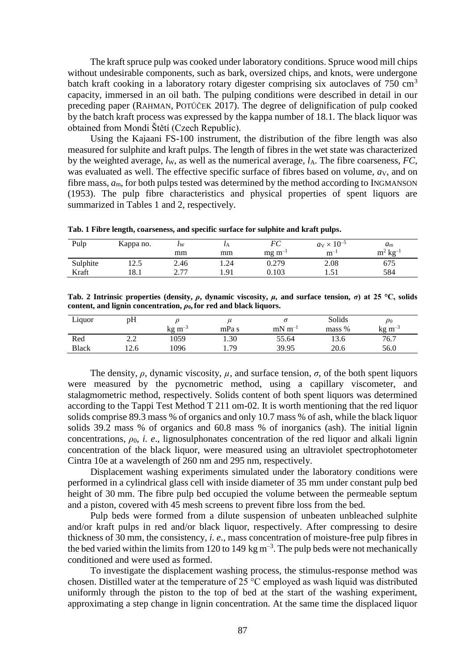The kraft spruce pulp was cooked under laboratory conditions. Spruce wood mill chips without undesirable components, such as bark, oversized chips, and knots, were undergone batch kraft cooking in a laboratory rotary digester comprising six autoclaves of  $750 \text{ cm}^3$ capacity, immersed in an oil bath. The pulping conditions were described in detail in our preceding paper (RAHMAN, POTŮČEK 2017). The degree of delignification of pulp cooked by the batch kraft process was expressed by the kappa number of 18.1. The black liquor was obtained from Mondi Štětí (Czech Republic).

Using the Kajaani FS-100 instrument, the distribution of the fibre length was also measured for sulphite and kraft pulps. The length of fibres in the wet state was characterized by the weighted average,  $l_w$ , as well as the numerical average,  $l_A$ . The fibre coarseness,  $FC$ , was evaluated as well. The effective specific surface of fibres based on volume,  $a_V$ , and on fibre mass, *a*m, for both pulps tested was determined by the method according to INGMANSON (1953). The pulp fibre characteristics and physical properties of spent liquors are summarized in Tables 1 and 2, respectively.

| Tab. 1 Fibre length, coarseness, and specific surface for sulphite and kraft pulps. |  |  |  |
|-------------------------------------------------------------------------------------|--|--|--|
|-------------------------------------------------------------------------------------|--|--|--|

| Pulp     | Kappa no. | $\iota_{\rm W}$                        | $\iota_A$ | FC             | $a_V \times 10^{-5}$ | $a_{\rm m}$                           |
|----------|-----------|----------------------------------------|-----------|----------------|----------------------|---------------------------------------|
|          |           | mm                                     | mm        | $mg \, m^{-1}$ | $m^{-}$              | $2 \text{ kg}^{-1}$<br>m <sup>2</sup> |
| Sulphite | 12.5      | 2.46                                   | 1.24      | 0.279          | 2.08                 | 675                                   |
| Kraft    | 18.1      | 277<br>$\overline{a}$ . $\overline{a}$ | 1.91      | 0.103          | $\sim$<br>1.J 1      | 584                                   |

**Tab. 2 Intrinsic properties (density,** *ρ***, dynamic viscosity,** *μ***, and surface tension,** *σ***) at 25 °C, solids content, and lignin concentration,** *ρ***0,for red and black liquors.**

| Liquor       | pH  |                |       |             | Solids | $\rho_0$           |
|--------------|-----|----------------|-------|-------------|--------|--------------------|
|              |     | $kg \text{ m}$ | mPa s | $mN m^{-1}$ | mass % | $\text{kg m}^{-3}$ |
| Red          |     | 1059           | 1.30  | 55.64       | 13.6   | 76.7               |
| <b>Black</b> | 2.6 | .096           | 1.79  | 39.95       | 20.6   | 56.0               |

The density,  $\rho$ , dynamic viscosity,  $\mu$ , and surface tension,  $\sigma$ , of the both spent liquors were measured by the pycnometric method, using a capillary viscometer, and stalagmometric method, respectively. Solids content of both spent liquors was determined according to the Tappi Test Method T 211 om-02. It is worth mentioning that the red liquor solids comprise 89.3 mass % of organics and only 10.7 mass % of ash, while the black liquor solids 39.2 mass % of organics and 60.8 mass % of inorganics (ash). The initial lignin concentrations,  $\rho_0$ , *i. e.*, lignosulphonates concentration of the red liquor and alkali lignin concentration of the black liquor, were measured using an ultraviolet spectrophotometer Cintra 10e at a wavelength of 260 nm and 295 nm, respectively.

Displacement washing experiments simulated under the laboratory conditions were performed in a cylindrical glass cell with inside diameter of 35 mm under constant pulp bed height of 30 mm. The fibre pulp bed occupied the volume between the permeable septum and a piston, covered with 45 mesh screens to prevent fibre loss from the bed.

Pulp beds were formed from a dilute suspension of unbeaten unbleached sulphite and/or kraft pulps in red and/or black liquor, respectively. After compressing to desire thickness of 30 mm, the consistency, *i. e*., mass concentration of moisture-free pulp fibres in the bed varied within the limits from 120 to 149 kg  $m^{-3}$ . The pulp beds were not mechanically conditioned and were used as formed.

To investigate the displacement washing process, the stimulus-response method was chosen. Distilled water at the temperature of 25 °C employed as wash liquid was distributed uniformly through the piston to the top of bed at the start of the washing experiment, approximating a step change in lignin concentration. At the same time the displaced liquor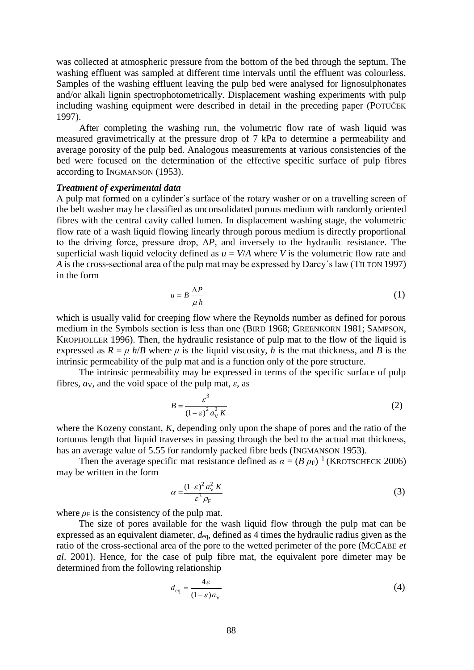was collected at atmospheric pressure from the bottom of the bed through the septum. The washing effluent was sampled at different time intervals until the effluent was colourless. Samples of the washing effluent leaving the pulp bed were analysed for lignosulphonates and/or alkali lignin spectrophotometrically. Displacement washing experiments with pulp including washing equipment were described in detail in the preceding paper (POTŮČEK 1997).

After completing the washing run, the volumetric flow rate of wash liquid was measured gravimetrically at the pressure drop of 7 kPa to determine a permeability and average porosity of the pulp bed. Analogous measurements at various consistencies of the bed were focused on the determination of the effective specific surface of pulp fibres according to INGMANSON (1953).

### *Treatment of experimental data*

A pulp mat formed on a cylinder´s surface of the rotary washer or on a travelling screen of the belt washer may be classified as unconsolidated porous medium with randomly oriented fibres with the central cavity called lumen. In displacement washing stage, the volumetric flow rate of a wash liquid flowing linearly through porous medium is directly proportional to the driving force, pressure drop,  $\Delta P$ , and inversely to the hydraulic resistance. The superficial wash liquid velocity defined as  $u = V/A$  where *V* is the volumetric flow rate and *A* is the cross-sectional area of the pulp mat may be expressed by Darcy´s law (TILTON 1997) in the form

$$
u = B \frac{\Delta P}{\mu h} \tag{1}
$$

which is usually valid for creeping flow where the Reynolds number as defined for porous medium in the Symbols section is less than one (BIRD 1968; GREENKORN 1981; SAMPSON, KROPHOLLER 1996). Then, the hydraulic resistance of pulp mat to the flow of the liquid is expressed as  $R = \mu h/B$  where  $\mu$  is the liquid viscosity, *h* is the mat thickness, and *B* is the intrinsic permeability of the pulp mat and is a function only of the pore structure.

The intrinsic permeability may be expressed in terms of the specific surface of pulp fibres,  $a_V$ , and the void space of the pulp mat,  $\varepsilon$ , as

$$
B = \frac{\varepsilon^3}{\left(1 - \varepsilon\right)^2 a_{\rm V}^2 K} \tag{2}
$$

where the Kozeny constant, *K*, depending only upon the shape of pores and the ratio of the tortuous length that liquid traverses in passing through the bed to the actual mat thickness, has an average value of 5.55 for randomly packed fibre beds (INGMANSON 1953).

Then the average specific mat resistance defined as  $\alpha = (B \rho_F)^{-1}$  (KROTSCHECK 2006) may be written in the form

$$
\alpha = \frac{\left(1 - \varepsilon\right)^2 a_V^2 K}{\varepsilon^3 \rho_F} \tag{3}
$$

where  $\rho_F$  is the consistency of the pulp mat.

The size of pores available for the wash liquid flow through the pulp mat can be expressed as an equivalent diameter, *d*eq, defined as 4 times the hydraulic radius given as the ratio of the cross-sectional area of the pore to the wetted perimeter of the pore (MCCABE *et al*. 2001). Hence, for the case of pulp fibre mat, the equivalent pore dimeter may be determined from the following relationship

$$
d_{\text{eq}} = \frac{4\varepsilon}{(1-\varepsilon)a_{\text{V}}} \tag{4}
$$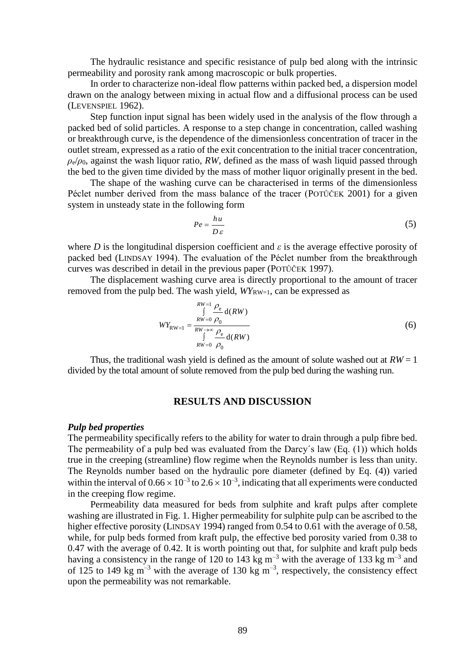The hydraulic resistance and specific resistance of pulp bed along with the intrinsic permeability and porosity rank among macroscopic or bulk properties.

In order to characterize non-ideal flow patterns within packed bed, a dispersion model drawn on the analogy between mixing in actual flow and a diffusional process can be used (LEVENSPIEL 1962).

Step function input signal has been widely used in the analysis of the flow through a packed bed of solid particles. A response to a step change in concentration, called washing or breakthrough curve, is the dependence of the dimensionless concentration of tracer in the outlet stream, expressed as a ratio of the exit concentration to the initial tracer concentration,  $\rho_e/\rho_0$ , against the wash liquor ratio, *RW*, defined as the mass of wash liquid passed through the bed to the given time divided by the mass of mother liquor originally present in the bed.

The shape of the washing curve can be characterised in terms of the dimensionless Péclet number derived from the mass balance of the tracer (POTŮČEK 2001) for a given system in unsteady state in the following form

$$
Pe = \frac{hu}{D\,\varepsilon} \tag{5}
$$

where *D* is the longitudinal dispersion coefficient and  $\varepsilon$  is the average effective porosity of packed bed (LINDSAY 1994). The evaluation of the Péclet number from the breakthrough curves was described in detail in the previous paper (POTŮČEK 1997).

The displacement washing curve area is directly proportional to the amount of tracer removed from the pulp bed. The wash yield,  $W_{RW=1}$ , can be expressed as

$$
WY_{\text{RW}=1} = \frac{\int_{RW=0}^{RW=1} \frac{\rho_{\text{e}}}{\rho_{0}} d(RW)}{\int_{RW=0}^{W\to\infty} \frac{\rho_{\text{e}}}{\rho_{0}} d(RW)}
$$
(6)

Thus, the traditional wash yield is defined as the amount of solute washed out at  $RW = 1$ divided by the total amount of solute removed from the pulp bed during the washing run.

### **RESULTS AND DISCUSSION**

#### *Pulp bed properties*

The permeability specifically refers to the ability for water to drain through a pulp fibre bed. The permeability of a pulp bed was evaluated from the Darcy´s law (Eq. (1)) which holds true in the creeping (streamline) flow regime when the Reynolds number is less than unity. The Reynolds number based on the hydraulic pore diameter (defined by Eq. (4)) varied within the interval of  $0.66 \times 10^{-3}$  to  $2.6 \times 10^{-3}$ , indicating that all experiments were conducted in the creeping flow regime.

Permeability data measured for beds from sulphite and kraft pulps after complete washing are illustrated in Fig. 1. Higher permeability for sulphite pulp can be ascribed to the higher effective porosity (LINDSAY 1994) ranged from 0.54 to 0.61 with the average of 0.58, while, for pulp beds formed from kraft pulp, the effective bed porosity varied from 0.38 to 0.47 with the average of 0.42. It is worth pointing out that, for sulphite and kraft pulp beds having a consistency in the range of 120 to 143 kg  $m^{-3}$  with the average of 133 kg  $m^{-3}$  and of 125 to 149 kg m<sup>-3</sup> with the average of 130 kg m<sup>-3</sup>, respectively, the consistency effect upon the permeability was not remarkable.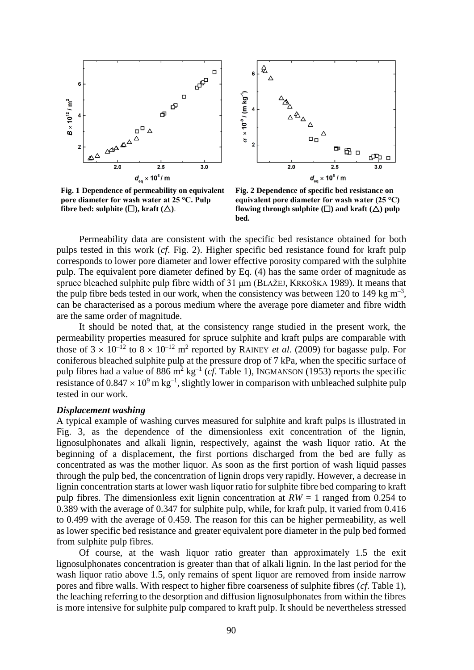



**Fig. 1 Dependence of permeability on equivalent pore diameter for wash water at 25 °C. Pulp fibre bed: sulphite**  $(\Box)$ , kraft  $(\triangle)$ .

**Fig. 2 Dependence of specific bed resistance on equivalent pore diameter for wash water (25 °C) flowing through sulphite**  $(\Box)$  **and kraft**  $(\triangle)$  **pulp bed.**

Permeability data are consistent with the specific bed resistance obtained for both pulps tested in this work (*cf*. Fig. 2). Higher specific bed resistance found for kraft pulp corresponds to lower pore diameter and lower effective porosity compared with the sulphite pulp. The equivalent pore diameter defined by Eq. (4) has the same order of magnitude as spruce bleached sulphite pulp fibre width of 31 μm (BLAŽEJ, KRKOŠKA 1989). It means that the pulp fibre beds tested in our work, when the consistency was between 120 to 149 kg  $m^{-3}$ , can be characterised as a porous medium where the average pore diameter and fibre width are the same order of magnitude.

It should be noted that, at the consistency range studied in the present work, the permeability properties measured for spruce sulphite and kraft pulps are comparable with those of  $3 \times 10^{-12}$  to  $8 \times 10^{-12}$  m<sup>2</sup> reported by RAINEY *et al.* (2009) for bagasse pulp. For coniferous bleached sulphite pulp at the pressure drop of 7 kPa, when the specific surface of pulp fibres had a value of  $886 \text{ m}^2 \text{ kg}^{-1}$  (*cf*. Table 1), INGMANSON (1953) reports the specific resistance of  $0.847 \times 10^9$  m kg<sup>-1</sup>, slightly lower in comparison with unbleached sulphite pulp tested in our work.

#### *Displacement washing*

A typical example of washing curves measured for sulphite and kraft pulps is illustrated in Fig. 3, as the dependence of the dimensionless exit concentration of the lignin, lignosulphonates and alkali lignin, respectively, against the wash liquor ratio. At the beginning of a displacement, the first portions discharged from the bed are fully as concentrated as was the mother liquor. As soon as the first portion of wash liquid passes through the pulp bed, the concentration of lignin drops very rapidly. However, a decrease in lignin concentration starts at lower wash liquor ratio for sulphite fibre bed comparing to kraft pulp fibres. The dimensionless exit lignin concentration at *RW* = 1 ranged from 0.254 to 0.389 with the average of 0.347 for sulphite pulp, while, for kraft pulp, it varied from 0.416 to 0.499 with the average of 0.459. The reason for this can be higher permeability, as well as lower specific bed resistance and greater equivalent pore diameter in the pulp bed formed from sulphite pulp fibres.

Of course, at the wash liquor ratio greater than approximately 1.5 the exit lignosulphonates concentration is greater than that of alkali lignin. In the last period for the wash liquor ratio above 1.5, only remains of spent liquor are removed from inside narrow pores and fibre walls. With respect to higher fibre coarseness of sulphite fibres (*cf*. Table 1), the leaching referring to the desorption and diffusion lignosulphonates from within the fibres is more intensive for sulphite pulp compared to kraft pulp. It should be nevertheless stressed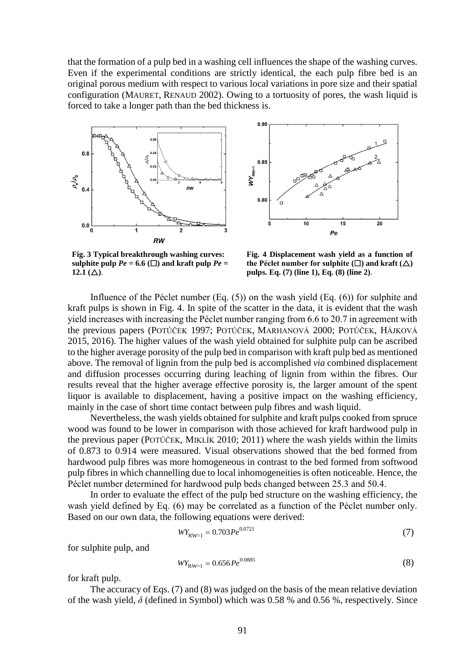that the formation of a pulp bed in a washing cell influences the shape of the washing curves. Even if the experimental conditions are strictly identical, the each pulp fibre bed is an original porous medium with respect to various local variations in pore size and their spatial configuration (MAURET, RENAUD 2002). Owing to a tortuosity of pores, the wash liquid is forced to take a longer path than the bed thickness is.





**Fig. 3 Typical breakthrough washing curves: sulphite pulp** *Pe* **= 6.6 (** $\Box$ **) and kraft pulp** *Pe* **=** 12.1 ( $\triangle$ ).

**Fig. 4 Displacement wash yield as a function of the Péclet number for sulphite (** $\square$ **) and kraft (** $\triangle$ **) pulps. Eq. (7) (line 1), Eq. (8) (line 2)**.

Influence of the Péclet number (Eq. (5)) on the wash yield (Eq. (6)) for sulphite and kraft pulps is shown in Fig. 4. In spite of the scatter in the data, it is evident that the wash yield increases with increasing the Péclet number ranging from 6.6 to 20.7 in agreement with the previous papers (POTŮČEK 1997; POTŮČEK, MARHANOVÁ 2000; POTŮČEK, HÁJKOVÁ 2015, 2016). The higher values of the wash yield obtained for sulphite pulp can be ascribed to the higher average porosity of the pulp bed in comparison with kraft pulp bed as mentioned above. The removal of lignin from the pulp bed is accomplished *via* combined displacement and diffusion processes occurring during leaching of lignin from within the fibres. Our results reveal that the higher average effective porosity is, the larger amount of the spent liquor is available to displacement, having a positive impact on the washing efficiency, mainly in the case of short time contact between pulp fibres and wash liquid.

Nevertheless, the wash yields obtained for sulphite and kraft pulps cooked from spruce wood was found to be lower in comparison with those achieved for kraft hardwood pulp in the previous paper (POTŮČEK, MIKLÍK 2010; 2011) where the wash yields within the limits of 0.873 to 0.914 were measured. Visual observations showed that the bed formed from hardwood pulp fibres was more homogeneous in contrast to the bed formed from softwood pulp fibres in which channelling due to local inhomogeneities is often noticeable. Hence, the Péclet number determined for hardwood pulp beds changed between 25.3 and 50.4.

In order to evaluate the effect of the pulp bed structure on the washing efficiency, the wash yield defined by Eq. (6) may be correlated as a function of the Péclet number only. Based on our own data, the following equations were derived:

$$
WY_{\text{RW}=1} = 0.703 \, P e^{0.0721} \tag{7}
$$

for sulphite pulp, and

$$
WY_{\text{RW}=1} = 0.656 \, P e^{0.0885} \tag{8}
$$

for kraft pulp.

The accuracy of Eqs. (7) and (8) was judged on the basis of the mean relative deviation of the wash yield, *δ* (defined in Symbol) which was 0.58 % and 0.56 %, respectively. Since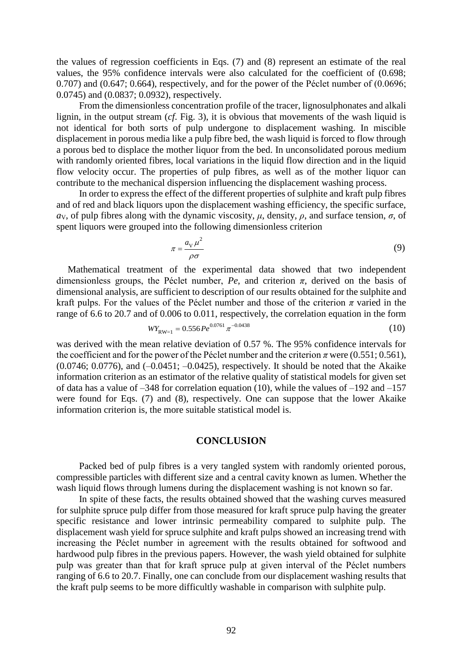the values of regression coefficients in Eqs. (7) and (8) represent an estimate of the real values, the 95% confidence intervals were also calculated for the coefficient of (0.698; 0.707) and (0.647; 0.664), respectively, and for the power of the Péclet number of (0.0696; 0.0745) and (0.0837; 0.0932), respectively.

From the dimensionless concentration profile of the tracer, lignosulphonates and alkali lignin, in the output stream (*cf*. Fig. 3), it is obvious that movements of the wash liquid is not identical for both sorts of pulp undergone to displacement washing. In miscible displacement in porous media like a pulp fibre bed, the wash liquid is forced to flow through a porous bed to displace the mother liquor from the bed. In unconsolidated porous medium with randomly oriented fibres, local variations in the liquid flow direction and in the liquid flow velocity occur. The properties of pulp fibres, as well as of the mother liquor can contribute to the mechanical dispersion influencing the displacement washing process.

In order to express the effect of the different properties of sulphite and kraft pulp fibres and of red and black liquors upon the displacement washing efficiency, the specific surface, *a*y, of pulp fibres along with the dynamic viscosity, *μ*, density, *ρ*, and surface tension, *σ*, of spent liquors were grouped into the following dimensionless criterion

$$
\pi = \frac{a_V \mu^2}{\rho \sigma} \tag{9}
$$

Mathematical treatment of the experimental data showed that two independent dimensionless groups, the Péclet number,  $Pe$ , and criterion  $\pi$ , derived on the basis of dimensional analysis, are sufficient to description of our results obtained for the sulphite and kraft pulps. For the values of the Péclet number and those of the criterion  $\pi$  varied in the range of 6.6 to 20.7 and of 0.006 to 0.011, respectively, the correlation equation in the form

$$
W_{\text{RW}=1} = 0.556 \, P e^{0.0761} \, \pi^{-0.0438} \tag{10}
$$

was derived with the mean relative deviation of 0.57 %. The 95% confidence intervals for the coefficient and for the power of the Péclet number and the criterion  $\pi$  were (0.551; 0.561),  $(0.0746; 0.0776)$ , and  $(-0.0451; -0.0425)$ , respectively. It should be noted that the Akaike information criterion as an estimator of the relative quality of statistical models for given set of data has a value of  $-348$  for correlation equation (10), while the values of  $-192$  and  $-157$ were found for Eqs. (7) and (8), respectively. One can suppose that the lower Akaike information criterion is, the more suitable statistical model is.

### **CONCLUSION**

Packed bed of pulp fibres is a very tangled system with randomly oriented porous, compressible particles with different size and a central cavity known as lumen. Whether the wash liquid flows through lumens during the displacement washing is not known so far.

In spite of these facts, the results obtained showed that the washing curves measured for sulphite spruce pulp differ from those measured for kraft spruce pulp having the greater specific resistance and lower intrinsic permeability compared to sulphite pulp. The displacement wash yield for spruce sulphite and kraft pulps showed an increasing trend with increasing the Péclet number in agreement with the results obtained for softwood and hardwood pulp fibres in the previous papers. However, the wash yield obtained for sulphite pulp was greater than that for kraft spruce pulp at given interval of the Péclet numbers ranging of 6.6 to 20.7. Finally, one can conclude from our displacement washing results that the kraft pulp seems to be more difficultly washable in comparison with sulphite pulp.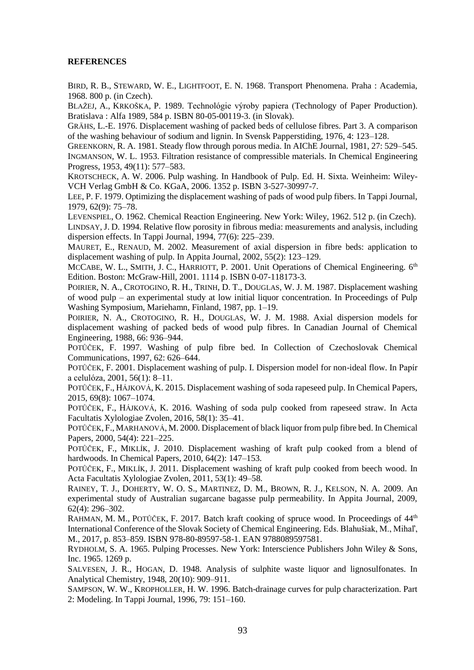#### **REFERENCES**

BIRD, R. B., STEWARD, W. E., LIGHTFOOT, E. N. 1968. Transport Phenomena. Praha : Academia, 1968. 800 p. (in Czech).

BLAŽEJ, A., KRKOŠKA, P. 1989. Technológie výroby papiera (Technology of Paper Production). Bratislava : Alfa 1989, 584 p. ISBN 80-05-00119-3. (in Slovak).

GRÄHS, L.-E. 1976. Displacement washing of packed beds of cellulose fibres. Part 3. A comparison of the washing behaviour of sodium and lignin. In Svensk Papperstiding, 1976, 4: 123–128.

GREENKORN, R. A. 1981. Steady flow through porous media. In AIChE Journal, 1981, 27: 529–545. INGMANSON, W. L. 1953. Filtration resistance of compressible materials. In Chemical Engineering Progress, 1953, 49(11): 577–583.

KROTSCHECK, A. W. 2006. Pulp washing. In Handbook of Pulp. Ed. H. Sixta. Weinheim: Wiley-VCH Verlag GmbH & Co. KGaA, 2006. 1352 p. ISBN 3-527-30997-7.

LEE, P. F. 1979. Optimizing the displacement washing of pads of wood pulp fibers. In Tappi Journal, 1979, 62(9): 75–78.

LEVENSPIEL, O. 1962. Chemical Reaction Engineering. New York: Wiley, 1962. 512 p. (in Czech).

LINDSAY, J. D. 1994. Relative flow porosity in fibrous media: measurements and analysis, including dispersion effects. In Tappi Journal, 1994, 77(6): 225–239.

MAURET, E., RENAUD, M. 2002. Measurement of axial dispersion in fibre beds: application to displacement washing of pulp. In Appita Journal, 2002, 55(2): 123–129.

MCCABE, W. L., SMITH, J. C., HARRIOTT, P. 2001. Unit Operations of Chemical Engineering. 6<sup>th</sup> Edition. Boston: McGraw-Hill, 2001. 1114 p. ISBN 0-07-118173-3.

POIRIER, N. A., CROTOGINO, R. H., TRINH, D. T., DOUGLAS, W. J. M. 1987. Displacement washing of wood pulp – an experimental study at low initial liquor concentration. In Proceedings of Pulp Washing Symposium, Mariehamn, Finland, 1987, pp. 1–19.

POIRIER, N. A., CROTOGINO, R. H., DOUGLAS, W. J. M. 1988. Axial dispersion models for displacement washing of packed beds of wood pulp fibres. In Canadian Journal of Chemical Engineering, 1988, 66: 936–944.

POTŮČEK, F. 1997. Washing of pulp fibre bed. In Collection of Czechoslovak Chemical Communications, 1997, 62: 626–644.

POTŮČEK, F. 2001. Displacement washing of pulp. I. Dispersion model for non-ideal flow. In Papír a celulóza, 2001, 56(1): 8–11.

POTŮČEK, F., HÁJKOVÁ, K. 2015. Displacement washing of soda rapeseed pulp. In Chemical Papers, 2015, 69(8): 1067–1074.

POTŮČEK, F., HÁJKOVÁ, K. 2016. Washing of soda pulp cooked from rapeseed straw. In Acta Facultatis Xylologiae Zvolen, 2016, 58(1): 35–41.

POTŮČEK, F., MARHANOVÁ, M. 2000. Displacement of black liquor from pulp fibre bed. In Chemical Papers, 2000, 54(4): 221–225.

POTŮČEK, F., MIKLÍK, J. 2010. Displacement washing of kraft pulp cooked from a blend of hardwoods. In Chemical Papers, 2010, 64(2): 147–153.

POTŮČEK, F., MIKLÍK, J. 2011. Displacement washing of kraft pulp cooked from beech wood. In Acta Facultatis Xylologiae Zvolen, 2011, 53(1): 49–58.

RAINEY, T. J., DOHERTY, W. O. S., MARTINEZ, D. M., BROWN, R. J., KELSON, N. A. 2009. An experimental study of Australian sugarcane bagasse pulp permeability. In Appita Journal, 2009, 62(4): 296–302.

RAHMAN, M. M., POTŮČEK, F. 2017. Batch kraft cooking of spruce wood. In Proceedings of  $44<sup>th</sup>$ International Conference of the Slovak Society of Chemical Engineering. Eds. Blahušiak, M., Mihaľ, M., 2017, p. 853–859. ISBN 978-80-89597-58-1. EAN 9788089597581.

RYDHOLM, S. A. 1965. Pulping Processes. New York: Interscience Publishers John Wiley & Sons, Inc. 1965. 1269 p.

SALVESEN, J. R., HOGAN, D. 1948. Analysis of sulphite waste liquor and lignosulfonates. In Analytical Chemistry, 1948, 20(10): 909–911.

SAMPSON, W. W., KROPHOLLER, H. W. 1996. Batch-drainage curves for pulp characterization. Part 2: Modeling. In Tappi Journal, 1996, 79: 151–160.